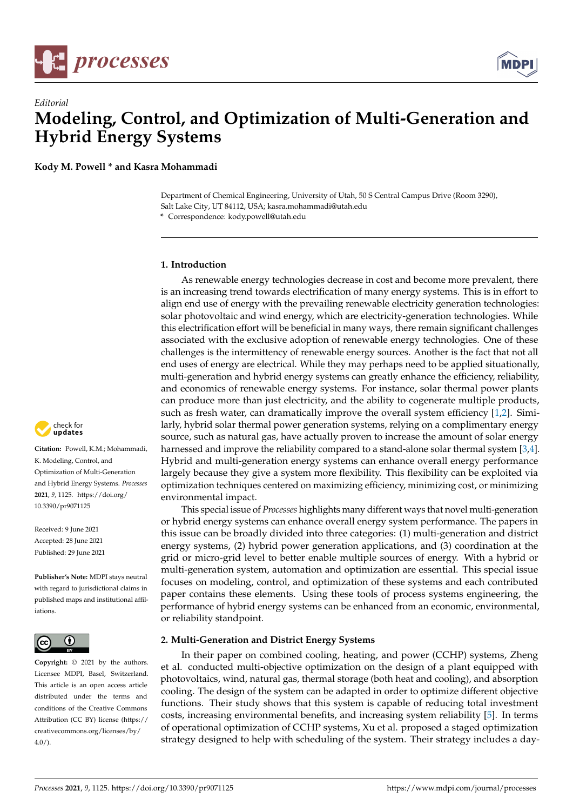



**Kody M. Powell \* and Kasra Mohammadi**

Department of Chemical Engineering, University of Utah, 50 S Central Campus Drive (Room 3290), Salt Lake City, UT 84112, USA; kasra.mohammadi@utah.edu **\*** Correspondence: kody.powell@utah.edu

# **1. Introduction**

As renewable energy technologies decrease in cost and become more prevalent, there is an increasing trend towards electrification of many energy systems. This is in effort to align end use of energy with the prevailing renewable electricity generation technologies: solar photovoltaic and wind energy, which are electricity-generation technologies. While this electrification effort will be beneficial in many ways, there remain significant challenges associated with the exclusive adoption of renewable energy technologies. One of these challenges is the intermittency of renewable energy sources. Another is the fact that not all end uses of energy are electrical. While they may perhaps need to be applied situationally, multi-generation and hybrid energy systems can greatly enhance the efficiency, reliability, and economics of renewable energy systems. For instance, solar thermal power plants can produce more than just electricity, and the ability to cogenerate multiple products, such as fresh water, can dramatically improve the overall system efficiency [\[1,](#page-2-0)[2\]](#page-2-1). Similarly, hybrid solar thermal power generation systems, relying on a complimentary energy source, such as natural gas, have actually proven to increase the amount of solar energy harnessed and improve the reliability compared to a stand-alone solar thermal system [\[3](#page-2-2)[,4\]](#page-2-3). Hybrid and multi-generation energy systems can enhance overall energy performance largely because they give a system more flexibility. This flexibility can be exploited via optimization techniques centered on maximizing efficiency, minimizing cost, or minimizing environmental impact.

This special issue of *Processes* highlights many different ways that novel multi-generation or hybrid energy systems can enhance overall energy system performance. The papers in this issue can be broadly divided into three categories: (1) multi-generation and district energy systems, (2) hybrid power generation applications, and (3) coordination at the grid or micro-grid level to better enable multiple sources of energy. With a hybrid or multi-generation system, automation and optimization are essential. This special issue focuses on modeling, control, and optimization of these systems and each contributed paper contains these elements. Using these tools of process systems engineering, the performance of hybrid energy systems can be enhanced from an economic, environmental, or reliability standpoint.

# **2. Multi-Generation and District Energy Systems**

In their paper on combined cooling, heating, and power (CCHP) systems, Zheng et al. conducted multi-objective optimization on the design of a plant equipped with photovoltaics, wind, natural gas, thermal storage (both heat and cooling), and absorption cooling. The design of the system can be adapted in order to optimize different objective functions. Their study shows that this system is capable of reducing total investment costs, increasing environmental benefits, and increasing system reliability [\[5\]](#page-2-4). In terms of operational optimization of CCHP systems, Xu et al. proposed a staged optimization strategy designed to help with scheduling of the system. Their strategy includes a day-



**Citation:** Powell, K.M.; Mohammadi, K. Modeling, Control, and Optimization of Multi-Generation and Hybrid Energy Systems. *Processes* **2021**, *9*, 1125. [https://doi.org/](https://doi.org/10.3390/pr9071125) [10.3390/pr9071125](https://doi.org/10.3390/pr9071125)

Received: 9 June 2021 Accepted: 28 June 2021 Published: 29 June 2021

**Publisher's Note:** MDPI stays neutral with regard to jurisdictional claims in published maps and institutional affiliations.



**Copyright:** © 2021 by the authors. Licensee MDPI, Basel, Switzerland. This article is an open access article distributed under the terms and conditions of the Creative Commons Attribution (CC BY) license (https:/[/](https://creativecommons.org/licenses/by/4.0/) [creativecommons.org/licenses/by/](https://creativecommons.org/licenses/by/4.0/)  $4.0/$ ).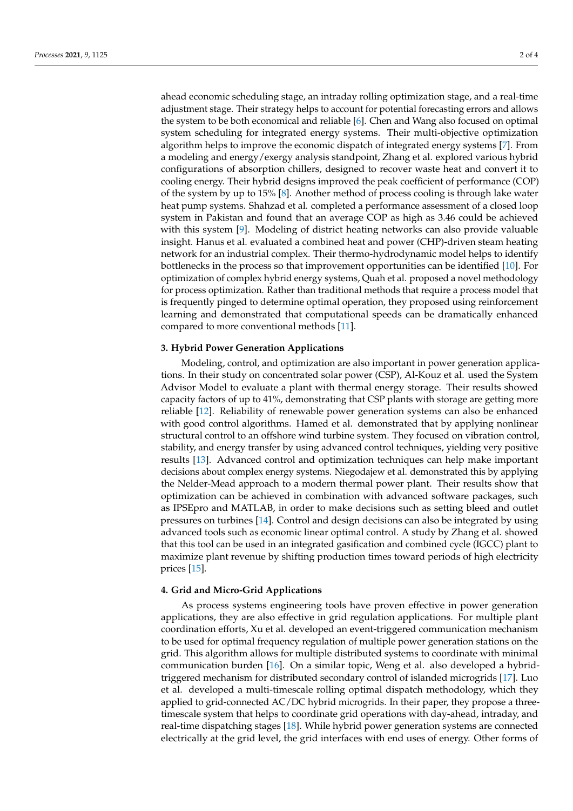ahead economic scheduling stage, an intraday rolling optimization stage, and a real-time adjustment stage. Their strategy helps to account for potential forecasting errors and allows the system to be both economical and reliable [\[6\]](#page-2-5). Chen and Wang also focused on optimal system scheduling for integrated energy systems. Their multi-objective optimization algorithm helps to improve the economic dispatch of integrated energy systems [\[7\]](#page-2-6). From a modeling and energy/exergy analysis standpoint, Zhang et al. explored various hybrid configurations of absorption chillers, designed to recover waste heat and convert it to cooling energy. Their hybrid designs improved the peak coefficient of performance (COP) of the system by up to 15% [\[8\]](#page-2-7). Another method of process cooling is through lake water heat pump systems. Shahzad et al. completed a performance assessment of a closed loop system in Pakistan and found that an average COP as high as 3.46 could be achieved with this system [\[9\]](#page-2-8). Modeling of district heating networks can also provide valuable insight. Hanus et al. evaluated a combined heat and power (CHP)-driven steam heating network for an industrial complex. Their thermo-hydrodynamic model helps to identify bottlenecks in the process so that improvement opportunities can be identified [\[10\]](#page-2-9). For optimization of complex hybrid energy systems, Quah et al. proposed a novel methodology for process optimization. Rather than traditional methods that require a process model that is frequently pinged to determine optimal operation, they proposed using reinforcement learning and demonstrated that computational speeds can be dramatically enhanced compared to more conventional methods [\[11\]](#page-2-10).

### **3. Hybrid Power Generation Applications**

Modeling, control, and optimization are also important in power generation applications. In their study on concentrated solar power (CSP), Al-Kouz et al. used the System Advisor Model to evaluate a plant with thermal energy storage. Their results showed capacity factors of up to 41%, demonstrating that CSP plants with storage are getting more reliable [\[12\]](#page-2-11). Reliability of renewable power generation systems can also be enhanced with good control algorithms. Hamed et al. demonstrated that by applying nonlinear structural control to an offshore wind turbine system. They focused on vibration control, stability, and energy transfer by using advanced control techniques, yielding very positive results [\[13\]](#page-2-12). Advanced control and optimization techniques can help make important decisions about complex energy systems. Niegodajew et al. demonstrated this by applying the Nelder-Mead approach to a modern thermal power plant. Their results show that optimization can be achieved in combination with advanced software packages, such as IPSEpro and MATLAB, in order to make decisions such as setting bleed and outlet pressures on turbines [\[14\]](#page-2-13). Control and design decisions can also be integrated by using advanced tools such as economic linear optimal control. A study by Zhang et al. showed that this tool can be used in an integrated gasification and combined cycle (IGCC) plant to maximize plant revenue by shifting production times toward periods of high electricity prices [\[15\]](#page-2-14).

### **4. Grid and Micro-Grid Applications**

As process systems engineering tools have proven effective in power generation applications, they are also effective in grid regulation applications. For multiple plant coordination efforts, Xu et al. developed an event-triggered communication mechanism to be used for optimal frequency regulation of multiple power generation stations on the grid. This algorithm allows for multiple distributed systems to coordinate with minimal communication burden [\[16\]](#page-2-15). On a similar topic, Weng et al. also developed a hybridtriggered mechanism for distributed secondary control of islanded microgrids [\[17\]](#page-3-0). Luo et al. developed a multi-timescale rolling optimal dispatch methodology, which they applied to grid-connected AC/DC hybrid microgrids. In their paper, they propose a threetimescale system that helps to coordinate grid operations with day-ahead, intraday, and real-time dispatching stages [\[18\]](#page-3-1). While hybrid power generation systems are connected electrically at the grid level, the grid interfaces with end uses of energy. Other forms of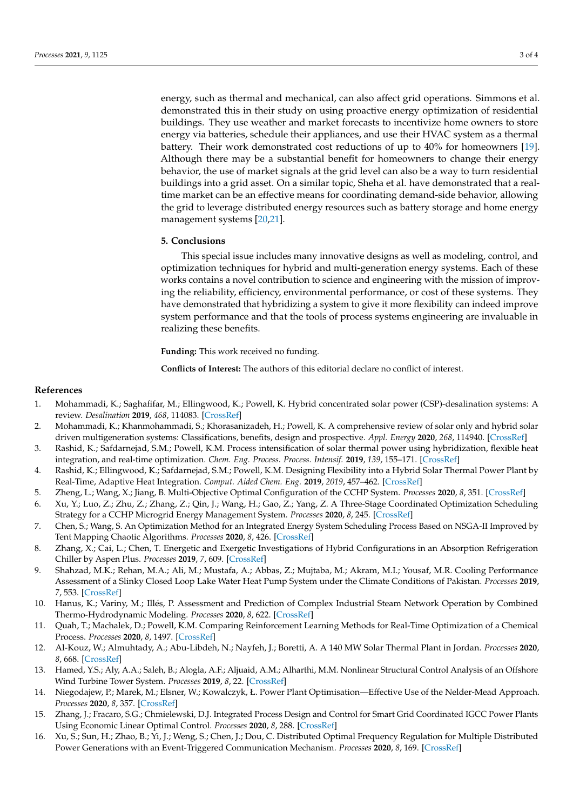energy, such as thermal and mechanical, can also affect grid operations. Simmons et al. demonstrated this in their study on using proactive energy optimization of residential buildings. They use weather and market forecasts to incentivize home owners to store energy via batteries, schedule their appliances, and use their HVAC system as a thermal battery. Their work demonstrated cost reductions of up to 40% for homeowners [\[19\]](#page-3-2). Although there may be a substantial benefit for homeowners to change their energy behavior, the use of market signals at the grid level can also be a way to turn residential buildings into a grid asset. On a similar topic, Sheha et al. have demonstrated that a realtime market can be an effective means for coordinating demand-side behavior, allowing the grid to leverage distributed energy resources such as battery storage and home energy management systems [\[20,](#page-3-3)[21\]](#page-3-4).

### **5. Conclusions**

This special issue includes many innovative designs as well as modeling, control, and optimization techniques for hybrid and multi-generation energy systems. Each of these works contains a novel contribution to science and engineering with the mission of improving the reliability, efficiency, environmental performance, or cost of these systems. They have demonstrated that hybridizing a system to give it more flexibility can indeed improve system performance and that the tools of process systems engineering are invaluable in realizing these benefits.

**Funding:** This work received no funding.

**Conflicts of Interest:** The authors of this editorial declare no conflict of interest.

### **References**

- <span id="page-2-0"></span>1. Mohammadi, K.; Saghafifar, M.; Ellingwood, K.; Powell, K. Hybrid concentrated solar power (CSP)-desalination systems: A review. *Desalination* **2019**, *468*, 114083. [\[CrossRef\]](http://doi.org/10.1016/j.desal.2019.114083)
- <span id="page-2-1"></span>2. Mohammadi, K.; Khanmohammadi, S.; Khorasanizadeh, H.; Powell, K. A comprehensive review of solar only and hybrid solar driven multigeneration systems: Classifications, benefits, design and prospective. *Appl. Energy* **2020**, *268*, 114940. [\[CrossRef\]](http://doi.org/10.1016/j.apenergy.2020.114940)
- <span id="page-2-2"></span>3. Rashid, K.; Safdarnejad, S.M.; Powell, K.M. Process intensification of solar thermal power using hybridization, flexible heat integration, and real-time optimization. *Chem. Eng. Process. Process. Intensif.* **2019**, *139*, 155–171. [\[CrossRef\]](http://doi.org/10.1016/j.cep.2019.04.004)
- <span id="page-2-3"></span>4. Rashid, K.; Ellingwood, K.; Safdarnejad, S.M.; Powell, K.M. Designing Flexibility into a Hybrid Solar Thermal Power Plant by Real-Time, Adaptive Heat Integration. *Comput. Aided Chem. Eng.* **2019**, *2019*, 457–462. [\[CrossRef\]](http://doi.org/10.1016/b978-0-12-818597-1.50073-4)
- <span id="page-2-4"></span>5. Zheng, L.; Wang, X.; Jiang, B. Multi-Objective Optimal Configuration of the CCHP System. *Processes* **2020**, *8*, 351. [\[CrossRef\]](http://doi.org/10.3390/pr8030351)
- <span id="page-2-5"></span>6. Xu, Y.; Luo, Z.; Zhu, Z.; Zhang, Z.; Qin, J.; Wang, H.; Gao, Z.; Yang, Z. A Three-Stage Coordinated Optimization Scheduling Strategy for a CCHP Microgrid Energy Management System. *Processes* **2020**, *8*, 245. [\[CrossRef\]](http://doi.org/10.3390/pr8020245)
- <span id="page-2-6"></span>7. Chen, S.; Wang, S. An Optimization Method for an Integrated Energy System Scheduling Process Based on NSGA-II Improved by Tent Mapping Chaotic Algorithms. *Processes* **2020**, *8*, 426. [\[CrossRef\]](http://doi.org/10.3390/pr8040426)
- <span id="page-2-7"></span>8. Zhang, X.; Cai, L.; Chen, T. Energetic and Exergetic Investigations of Hybrid Configurations in an Absorption Refrigeration Chiller by Aspen Plus. *Processes* **2019**, *7*, 609. [\[CrossRef\]](http://doi.org/10.3390/pr7090609)
- <span id="page-2-8"></span>9. Shahzad, M.K.; Rehan, M.A.; Ali, M.; Mustafa, A.; Abbas, Z.; Mujtaba, M.; Akram, M.I.; Yousaf, M.R. Cooling Performance Assessment of a Slinky Closed Loop Lake Water Heat Pump System under the Climate Conditions of Pakistan. *Processes* **2019**, *7*, 553. [\[CrossRef\]](http://doi.org/10.3390/pr7090553)
- <span id="page-2-9"></span>10. Hanus, K.; Variny, M.; Illés, P. Assessment and Prediction of Complex Industrial Steam Network Operation by Combined Thermo-Hydrodynamic Modeling. *Processes* **2020**, *8*, 622. [\[CrossRef\]](http://doi.org/10.3390/pr8050622)
- <span id="page-2-10"></span>11. Quah, T.; Machalek, D.; Powell, K.M. Comparing Reinforcement Learning Methods for Real-Time Optimization of a Chemical Process. *Processes* **2020**, *8*, 1497. [\[CrossRef\]](http://doi.org/10.3390/pr8111497)
- <span id="page-2-11"></span>12. Al-Kouz, W.; Almuhtady, A.; Abu-Libdeh, N.; Nayfeh, J.; Boretti, A. A 140 MW Solar Thermal Plant in Jordan. *Processes* **2020**, *8*, 668. [\[CrossRef\]](http://doi.org/10.3390/pr8060668)
- <span id="page-2-12"></span>13. Hamed, Y.S.; Aly, A.A.; Saleh, B.; Alogla, A.F.; Aljuaid, A.M.; Alharthi, M.M. Nonlinear Structural Control Analysis of an Offshore Wind Turbine Tower System. *Processes* **2019**, *8*, 22. [\[CrossRef\]](http://doi.org/10.3390/pr8010022)
- <span id="page-2-13"></span>14. Niegodajew, P.; Marek, M.; Elsner, W.; Kowalczyk, Ł. Power Plant Optimisation—Effective Use of the Nelder-Mead Approach. *Processes* **2020**, *8*, 357. [\[CrossRef\]](http://doi.org/10.3390/pr8030357)
- <span id="page-2-14"></span>15. Zhang, J.; Fracaro, S.G.; Chmielewski, D.J. Integrated Process Design and Control for Smart Grid Coordinated IGCC Power Plants Using Economic Linear Optimal Control. *Processes* **2020**, *8*, 288. [\[CrossRef\]](http://doi.org/10.3390/pr8030288)
- <span id="page-2-15"></span>16. Xu, S.; Sun, H.; Zhao, B.; Yi, J.; Weng, S.; Chen, J.; Dou, C. Distributed Optimal Frequency Regulation for Multiple Distributed Power Generations with an Event-Triggered Communication Mechanism. *Processes* **2020**, *8*, 169. [\[CrossRef\]](http://doi.org/10.3390/pr8020169)